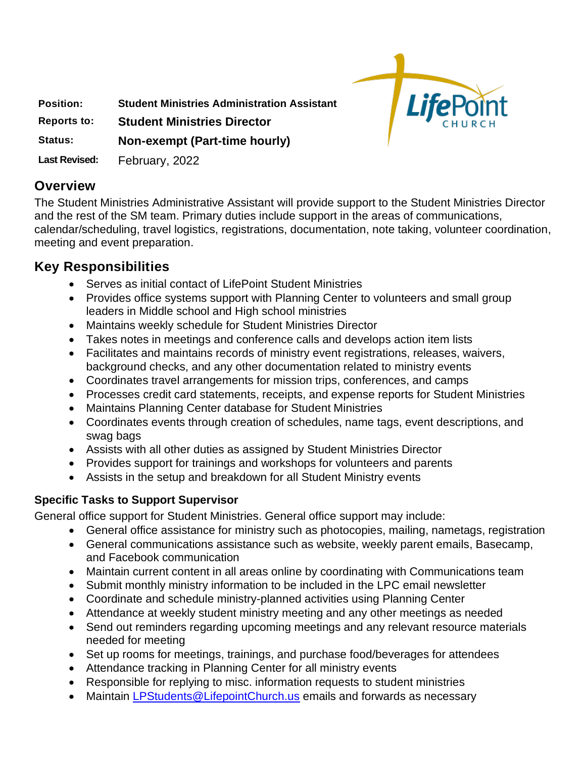

**Position: Student Ministries Administration Assistant**

**Reports to: Student Ministries Director**

#### **Status: Non-exempt (Part-time hourly)**

**Last Revised:** February, 2022

### **Overview**

The Student Ministries Administrative Assistant will provide support to the Student Ministries Director and the rest of the SM team. Primary duties include support in the areas of communications, calendar/scheduling, travel logistics, registrations, documentation, note taking, volunteer coordination, meeting and event preparation.

# **Key Responsibilities**

- Serves as initial contact of LifePoint Student Ministries
- Provides office systems support with Planning Center to volunteers and small group leaders in Middle school and High school ministries
- Maintains weekly schedule for Student Ministries Director
- Takes notes in meetings and conference calls and develops action item lists
- Facilitates and maintains records of ministry event registrations, releases, waivers, background checks, and any other documentation related to ministry events
- Coordinates travel arrangements for mission trips, conferences, and camps
- Processes credit card statements, receipts, and expense reports for Student Ministries
- Maintains Planning Center database for Student Ministries
- Coordinates events through creation of schedules, name tags, event descriptions, and swag bags
- Assists with all other duties as assigned by Student Ministries Director
- Provides support for trainings and workshops for volunteers and parents
- Assists in the setup and breakdown for all Student Ministry events

### **Specific Tasks to Support Supervisor**

General office support for Student Ministries. General office support may include:

- General office assistance for ministry such as photocopies, mailing, nametags, registration
- General communications assistance such as website, weekly parent emails, Basecamp, and Facebook communication
- Maintain current content in all areas online by coordinating with Communications team
- Submit monthly ministry information to be included in the LPC email newsletter
- Coordinate and schedule ministry-planned activities using Planning Center
- Attendance at weekly student ministry meeting and any other meetings as needed
- Send out reminders regarding upcoming meetings and any relevant resource materials needed for meeting
- Set up rooms for meetings, trainings, and purchase food/beverages for attendees
- Attendance tracking in Planning Center for all ministry events
- Responsible for replying to misc. information requests to student ministries
- Maintain [LPStudents@LifepointChurch.us](mailto:LPStudents@LifepointChurch.us) emails and forwards as necessary